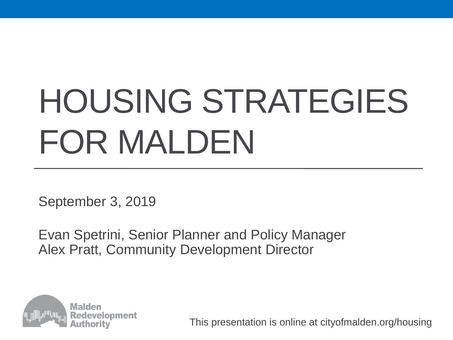# HOUSING STRATEGIES FOR MALDEN

September 3, 2019

Evan Spetrini, Senior Planner and Policy Manager Alex Pratt, Community Development Director

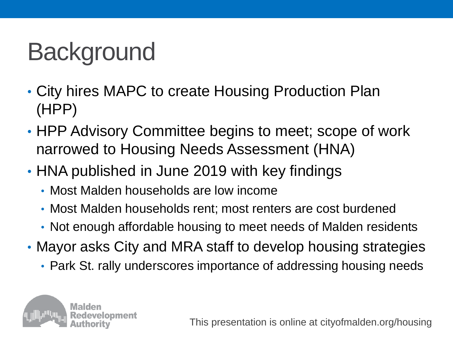### Background

- City hires MAPC to create Housing Production Plan (HPP)
- HPP Advisory Committee begins to meet; scope of work narrowed to Housing Needs Assessment (HNA)
- HNA published in June 2019 with key findings
	- Most Malden households are low income
	- Most Malden households rent; most renters are cost burdened
	- Not enough affordable housing to meet needs of Malden residents
- Mayor asks City and MRA staff to develop housing strategies
	- Park St. rally underscores importance of addressing housing needs

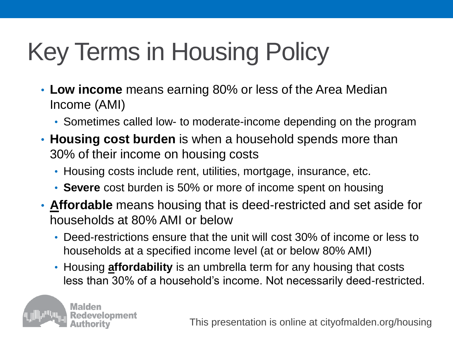# Key Terms in Housing Policy

- **Low income** means earning 80% or less of the Area Median Income (AMI)
	- Sometimes called low- to moderate-income depending on the program
- **Housing cost burden** is when a household spends more than 30% of their income on housing costs
	- Housing costs include rent, utilities, mortgage, insurance, etc.
	- **Severe** cost burden is 50% or more of income spent on housing
- **Affordable** means housing that is deed-restricted and set aside for households at 80% AMI or below
	- Deed-restrictions ensure that the unit will cost 30% of income or less to households at a specified income level (at or below 80% AMI)
	- Housing **affordability** is an umbrella term for any housing that costs less than 30% of a household's income. Not necessarily deed-restricted.

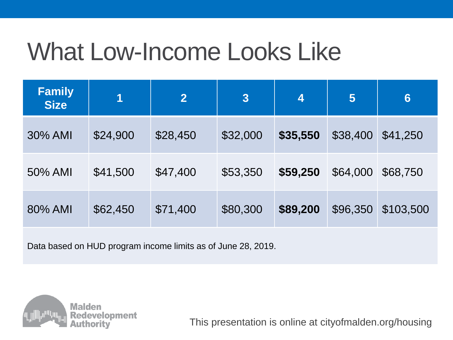#### What Low-Income Looks Like

| <b>Family</b><br><b>Size</b> | 1        | $\overline{2}$ | 3        | 4        | 5        | $6\phantom{1}6$ |
|------------------------------|----------|----------------|----------|----------|----------|-----------------|
| 30% AMI                      | \$24,900 | \$28,450       | \$32,000 | \$35,550 | \$38,400 | \$41,250        |
| 50% AMI                      | \$41,500 | \$47,400       | \$53,350 | \$59,250 | \$64,000 | \$68,750        |
| 80% AMI                      | \$62,450 | \$71,400       | \$80,300 | \$89,200 | \$96,350 | \$103,500       |

Data based on HUD program income limits as of June 28, 2019.

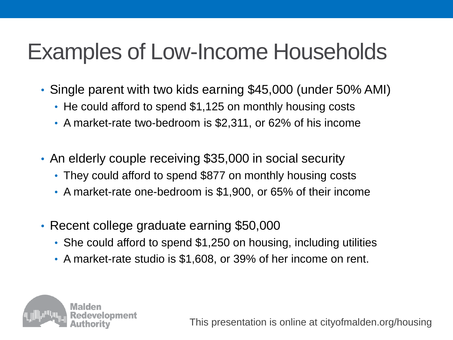#### Examples of Low-Income Households

- Single parent with two kids earning \$45,000 (under 50% AMI)
	- He could afford to spend \$1,125 on monthly housing costs
	- A market-rate two-bedroom is \$2,311, or 62% of his income
- An elderly couple receiving \$35,000 in social security
	- They could afford to spend \$877 on monthly housing costs
	- A market-rate one-bedroom is \$1,900, or 65% of their income
- Recent college graduate earning \$50,000
	- She could afford to spend \$1,250 on housing, including utilities
	- A market-rate studio is \$1,608, or 39% of her income on rent.

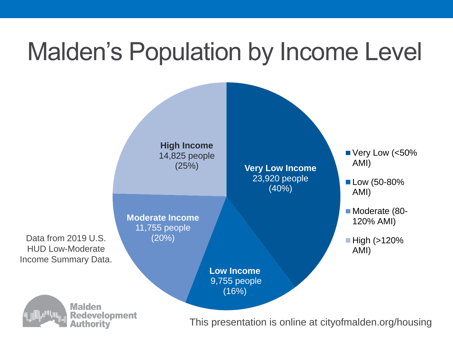#### Malden's Population by Income Level

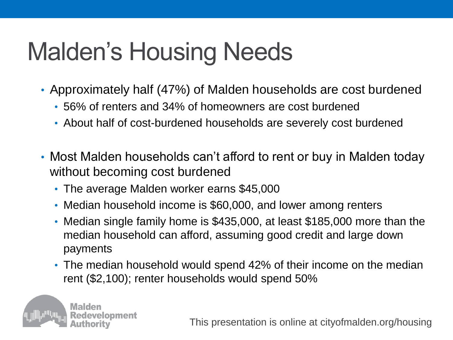### Malden's Housing Needs

- Approximately half (47%) of Malden households are cost burdened
	- 56% of renters and 34% of homeowners are cost burdened
	- About half of cost-burdened households are severely cost burdened
- Most Malden households can't afford to rent or buy in Malden today without becoming cost burdened
	- The average Malden worker earns \$45,000
	- Median household income is \$60,000, and lower among renters
	- Median single family home is \$435,000, at least \$185,000 more than the median household can afford, assuming good credit and large down payments
	- The median household would spend 42% of their income on the median rent (\$2,100); renter households would spend 50%

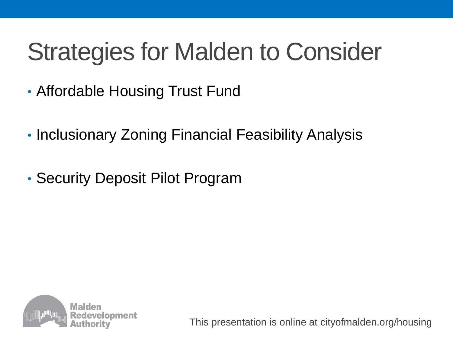#### Strategies for Malden to Consider

- Affordable Housing Trust Fund
- Inclusionary Zoning Financial Feasibility Analysis
- Security Deposit Pilot Program

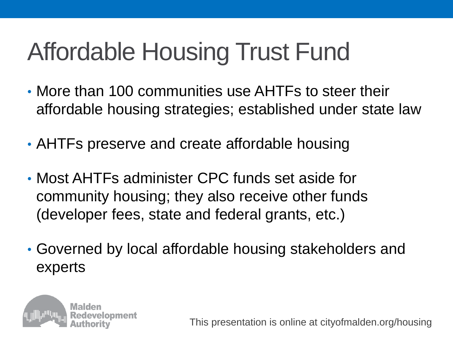# Affordable Housing Trust Fund

- More than 100 communities use AHTFs to steer their affordable housing strategies; established under state law
- AHTFs preserve and create affordable housing
- Most AHTFs administer CPC funds set aside for community housing; they also receive other funds (developer fees, state and federal grants, etc.)
- Governed by local affordable housing stakeholders and experts

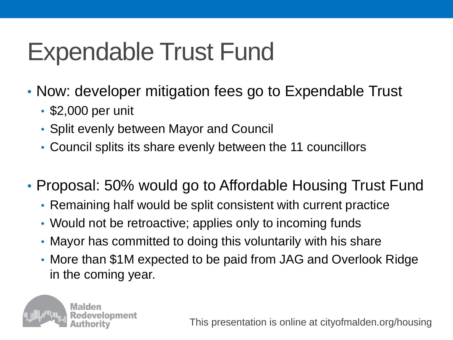#### Expendable Trust Fund

- Now: developer mitigation fees go to Expendable Trust
	- \$2,000 per unit
	- Split evenly between Mayor and Council
	- Council splits its share evenly between the 11 councillors
- Proposal: 50% would go to Affordable Housing Trust Fund
	- Remaining half would be split consistent with current practice
	- Would not be retroactive; applies only to incoming funds
	- Mayor has committed to doing this voluntarily with his share
	- More than \$1M expected to be paid from JAG and Overlook Ridge in the coming year.

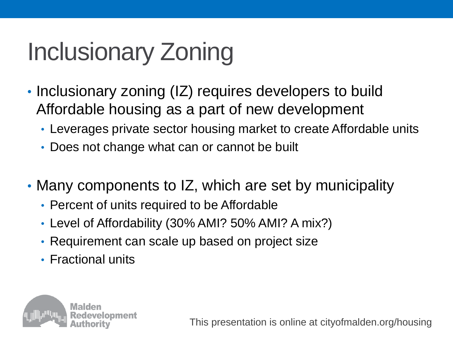# Inclusionary Zoning

- Inclusionary zoning (IZ) requires developers to build Affordable housing as a part of new development
	- Leverages private sector housing market to create Affordable units
	- Does not change what can or cannot be built
- Many components to IZ, which are set by municipality
	- Percent of units required to be Affordable
	- Level of Affordability (30% AMI? 50% AMI? A mix?)
	- Requirement can scale up based on project size
	- Fractional units

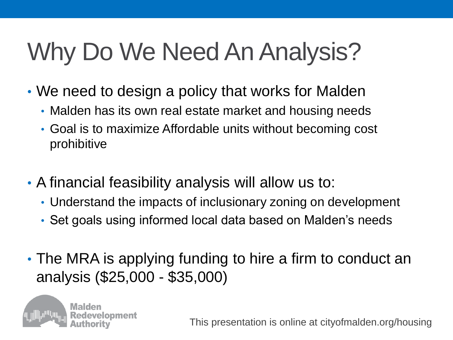# Why Do We Need An Analysis?

- We need to design a policy that works for Malden
	- Malden has its own real estate market and housing needs
	- Goal is to maximize Affordable units without becoming cost prohibitive
- A financial feasibility analysis will allow us to:
	- Understand the impacts of inclusionary zoning on development
	- Set goals using informed local data based on Malden's needs
- The MRA is applying funding to hire a firm to conduct an analysis (\$25,000 - \$35,000)

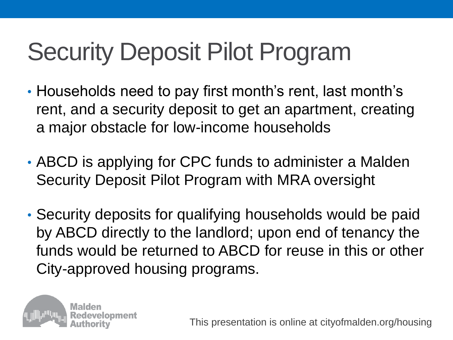# Security Deposit Pilot Program

- Households need to pay first month's rent, last month's rent, and a security deposit to get an apartment, creating a major obstacle for low-income households
- ABCD is applying for CPC funds to administer a Malden Security Deposit Pilot Program with MRA oversight
- Security deposits for qualifying households would be paid by ABCD directly to the landlord; upon end of tenancy the funds would be returned to ABCD for reuse in this or other City-approved housing programs.